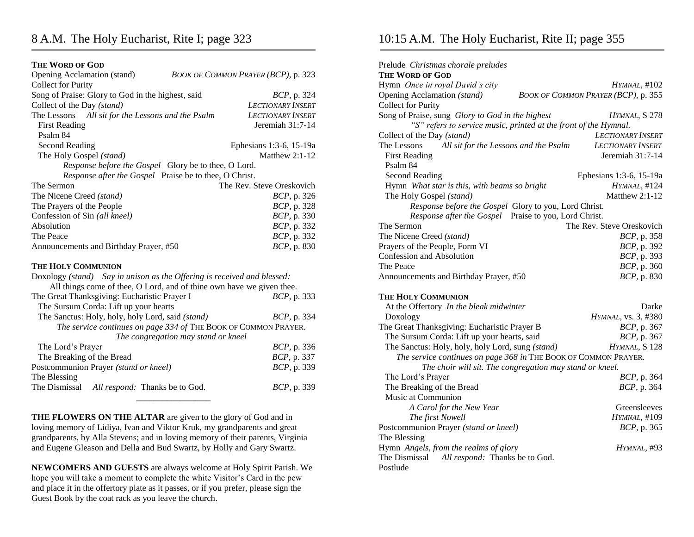## 8 A.M. The Holy Eucharist, Rite I; page 323

#### **THE WORD OF GOD**

| Opening Acclamation (stand)<br><b>Collect for Purity</b>                | BOOK OF COMMON PRAYER (BCP), p. 323                             |  |  |
|-------------------------------------------------------------------------|-----------------------------------------------------------------|--|--|
| Song of Praise: Glory to God in the highest, said                       | <i>BCP</i> , p. 324                                             |  |  |
| Collect of the Day (stand)                                              | <b>LECTIONARY INSERT</b>                                        |  |  |
| The Lessons All sit for the Lessons and the Psalm                       | <b>LECTIONARY INSERT</b>                                        |  |  |
| <b>First Reading</b>                                                    | Jeremiah $31:7-14$                                              |  |  |
| Psalm 84                                                                |                                                                 |  |  |
| <b>Second Reading</b>                                                   | Ephesians 1:3-6, 15-19a                                         |  |  |
| The Holy Gospel (stand)                                                 | Matthew $2:1-12$                                                |  |  |
| Response before the Gospel Glory be to thee, O Lord.                    |                                                                 |  |  |
| Response after the Gospel Praise be to thee, O Christ.                  |                                                                 |  |  |
| The Sermon                                                              | The Rev. Steve Oreskovich                                       |  |  |
| The Nicene Creed (stand)                                                | <i>BCP</i> , p. 326                                             |  |  |
| The Prayers of the People                                               | BCP, p. 328                                                     |  |  |
| Confession of Sin (all kneel)                                           | BCP, p. 330                                                     |  |  |
| Absolution                                                              | <i>BCP</i> , p. 332                                             |  |  |
| The Peace                                                               | BCP, p. 332                                                     |  |  |
| Announcements and Birthday Prayer, #50                                  | BCP, p. 830                                                     |  |  |
| <b>THE HOLY COMMUNION</b>                                               |                                                                 |  |  |
| Doxology (stand) Say in unison as the Offering is received and blessed: |                                                                 |  |  |
| All things come of thee, O Lord, and of thine own have we given thee.   |                                                                 |  |  |
| The Great Thanksgiving: Eucharistic Prayer I                            | <i>BCP</i> , p. 333                                             |  |  |
| The Sursum Corda: Lift up your hearts                                   |                                                                 |  |  |
| The Sanctus: Holy, holy, holy Lord, said (stand)                        | <i>BCP</i> , p. 334                                             |  |  |
|                                                                         | The service continues on page 334 of THE BOOK OF COMMON PRAYER. |  |  |
|                                                                         | The congregation may stand or kneel                             |  |  |
| The Lord's Prayer                                                       | <i>BCP</i> , p. 336                                             |  |  |
| The Breaking of the Bread                                               | BCP, p. 337                                                     |  |  |
| Postcommunion Prayer (stand or kneel)                                   | BCP, p. 339                                                     |  |  |
| The Blessing                                                            |                                                                 |  |  |
| The Dismissal<br>All respond: Thanks be to God.                         | <i>BCP</i> , p. 339                                             |  |  |

**THE FLOWERS ON THE ALTAR** are given to the glory of God and in loving memory of Lidiya, Ivan and Viktor Kruk, my grandparents and great grandparents, by Alla Stevens; and in loving memory of their parents, Virginia and Eugene Gleason and Della and Bud Swartz, by Holly and Gary Swartz.

**NEWCOMERS AND GUESTS** are always welcome at Holy Spirit Parish. We hope you will take a moment to complete the white Visitor's Card in the pew and place it in the offertory plate as it passes, or if you prefer, please sign the Guest Book by the coat rack as you leave the church.

### 10:15 A.M. The Holy Eucharist, Rite II; page 355

| Prelude Christmas chorale preludes                               |                                     |
|------------------------------------------------------------------|-------------------------------------|
| <b>THE WORD OF GOD</b>                                           |                                     |
| Hymn Once in royal David's city                                  | $H$ <i>YMNAL</i> , $\#102$          |
| Opening Acclamation (stand)                                      | BOOK OF COMMON PRAYER (BCP), p. 355 |
| <b>Collect for Purity</b>                                        |                                     |
| Song of Praise, sung Glory to God in the highest                 | HYMNAL, S 278                       |
| "S" refers to service music, printed at the front of the Hymnal. |                                     |
| Collect of the Day (stand)                                       | <b>LECTIONARY INSERT</b>            |
| The Lessons<br>All sit for the Lessons and the Psalm             | <b>LECTIONARY INSERT</b>            |
| <b>First Reading</b>                                             | Jeremiah $31:7-14$                  |
| Psalm 84                                                         |                                     |
| <b>Second Reading</b>                                            | Ephesians 1:3-6, 15-19a             |
| Hymn What star is this, with beams so bright                     | HYMNAL, #124                        |
| The Holy Gospel (stand)                                          | Matthew 2:1-12                      |
| Response before the Gospel Glory to you, Lord Christ.            |                                     |
| Response after the Gospel Praise to you, Lord Christ.            |                                     |
| The Sermon                                                       | The Rev. Steve Oreskovich           |
| The Nicene Creed (stand)                                         | BCP, p. 358                         |
| Prayers of the People, Form VI                                   | BCP, p. 392                         |
| Confession and Absolution                                        | BCP, p. 393                         |
| The Peace                                                        | BCP, p. 360                         |
| Announcements and Birthday Prayer, #50                           | <i>BCP</i> , p. 830                 |
| <b>THE HOLY COMMUNION</b>                                        |                                     |
| At the Offertory In the bleak midwinter                          | Darke                               |
| Doxology                                                         | HYMNAL, vs. 3, #380                 |
| The Great Thanksgiving: Eucharistic Prayer B                     | <i>BCP</i> , p. 367                 |
| The Sursum Corda: Lift up your hearts, said                      | <i>BCP</i> , p. 367                 |
| The Sanctus: Holy, holy, holy Lord, sung (stand)                 | HYMNAL, S 128                       |
| The service continues on page 368 in THE BOOK OF COMMON PRAYER.  |                                     |
| The choir will sit. The congregation may stand or kneel.         |                                     |
| The Lord's Prayer                                                | <i>BCP</i> , p. 364                 |
| The Breaking of the Bread                                        | <i>BCP</i> , p. 364                 |
| Music at Communion                                               |                                     |
| A Carol for the New Year                                         | Greensleeves                        |
| The first Nowell                                                 | HYMNAL, #109                        |
| Postcommunion Prayer (stand or kneel)                            | <i>BCP</i> , p. 365                 |
| The Blessing                                                     |                                     |
| Hymn Angels, from the realms of glory                            | HYMNAL, #93                         |
| The Dismissal All respond: Thanks be to God.                     |                                     |
| Postlude                                                         |                                     |
|                                                                  |                                     |